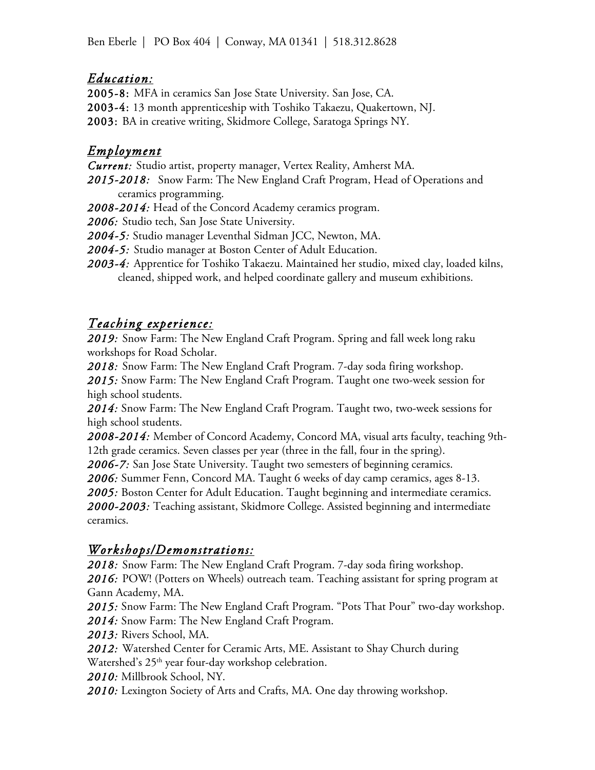### *Education:*

2005-8: MFA in ceramics San Jose State University. San Jose, CA. 2003-4: 13 month apprenticeship with Toshiko Takaezu, Quakertown, NJ. 2003: BA in creative writing, Skidmore College, Saratoga Springs NY.

### *Employment*

*Current:* Studio artist, property manager, Vertex Reality, Amherst MA.

*2015-2018:* Snow Farm: The New England Craft Program, Head of Operations and ceramics programming.

*2008-2014:* Head of the Concord Academy ceramics program.

*2006:* Studio tech, San Jose State University.

*2004-5:* Studio manager Leventhal Sidman JCC, Newton, MA.

*2004-5:* Studio manager at Boston Center of Adult Education.

*2003-4:* Apprentice for Toshiko Takaezu. Maintained her studio, mixed clay, loaded kilns, cleaned, shipped work, and helped coordinate gallery and museum exhibitions.

# *Teaching experience:*

*2019:* Snow Farm: The New England Craft Program. Spring and fall week long raku workshops for Road Scholar.

*2018:* Snow Farm: The New England Craft Program. 7-day soda firing workshop.

*2015:* Snow Farm: The New England Craft Program. Taught one two-week session for high school students.

*2014:* Snow Farm: The New England Craft Program. Taught two, two-week sessions for high school students.

*2008-2014:* Member of Concord Academy, Concord MA, visual arts faculty, teaching 9th-12th grade ceramics. Seven classes per year (three in the fall, four in the spring).

*2006-7:* San Jose State University. Taught two semesters of beginning ceramics.

*2006:* Summer Fenn, Concord MA. Taught 6 weeks of day camp ceramics, ages 8-13. *2005:* Boston Center for Adult Education. Taught beginning and intermediate ceramics. *2000-2003:* Teaching assistant, Skidmore College. Assisted beginning and intermediate ceramics.

# *Workshops/Demonstrations:*

*2018:* Snow Farm: The New England Craft Program. 7-day soda firing workshop.

2016: POW! (Potters on Wheels) outreach team. Teaching assistant for spring program at Gann Academy, MA.

*2015:* Snow Farm: The New England Craft Program. "Pots That Pour" two-day workshop. *2014:* Snow Farm: The New England Craft Program.

*2013:* Rivers School, MA.

*2012:* Watershed Center for Ceramic Arts, ME. Assistant to Shay Church during Watershed's 25<sup>th</sup> year four-day workshop celebration.

*2010:* Millbrook School, NY.

*2010:* Lexington Society of Arts and Crafts, MA. One day throwing workshop.